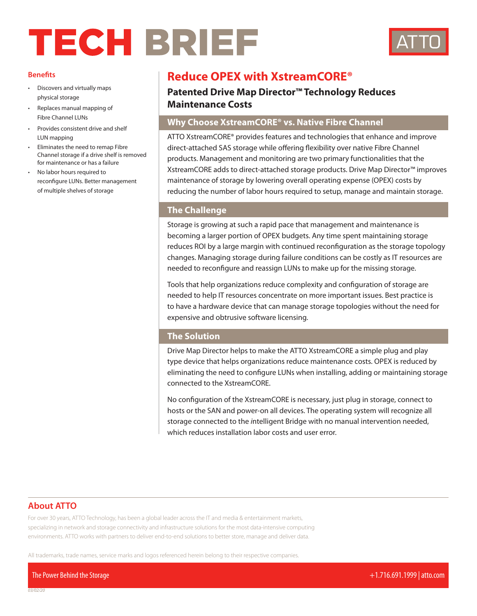# TECH BRIEF



#### **Benefits**

- Discovers and virtually maps physical storage
- Replaces manual mapping of Fibre Channel LUNs
- Provides consistent drive and shelf LUN mapping
- Eliminates the need to remap Fibre Channel storage if a drive shelf is removed for maintenance or has a failure
- No labor hours required to reconfigure LUNs. Better management of multiple shelves of storage

# **Reduce OPEX with XstreamCORE®**

# **Patented Drive Map Director™ Technology Reduces Maintenance Costs**

# **Why Choose XstreamCORE® vs. Native Fibre Channel**

ATTO XstreamCORE® provides features and technologies that enhance and improve direct-attached SAS storage while offering flexibility over native Fibre Channel products. Management and monitoring are two primary functionalities that the XstreamCORE adds to direct-attached storage products. Drive Map Director™ improves maintenance of storage by lowering overall operating expense (OPEX) costs by reducing the number of labor hours required to setup, manage and maintain storage.

#### **The Challenge**

Storage is growing at such a rapid pace that management and maintenance is becoming a larger portion of OPEX budgets. Any time spent maintaining storage reduces ROI by a large margin with continued reconfiguration as the storage topology changes. Managing storage during failure conditions can be costly as IT resources are needed to reconfigure and reassign LUNs to make up for the missing storage.

Tools that help organizations reduce complexity and configuration of storage are needed to help IT resources concentrate on more important issues. Best practice is to have a hardware device that can manage storage topologies without the need for expensive and obtrusive software licensing.

#### **The Solution**

Drive Map Director helps to make the ATTO XstreamCORE a simple plug and play type device that helps organizations reduce maintenance costs. OPEX is reduced by eliminating the need to configure LUNs when installing, adding or maintaining storage connected to the XstreamCORE.

No configuration of the XstreamCORE is necessary, just plug in storage, connect to hosts or the SAN and power-on all devices. The operating system will recognize all storage connected to the *i*ntelligent Bridge with no manual intervention needed, which reduces installation labor costs and user error.

### **About ATTO**

For over 30 years, ATTO Technology, has been a global leader across the IT and media & entertainment markets, specializing in network and storage connectivity and infrastructure solutions for the most data-intensive computing environments. ATTO works with partners to deliver end-to-end solutions to better store, manage and deliver data.

All trademarks, trade names, service marks and logos referenced herein belong to their respective companies.

The Power Behind the Storage +1.716.691.1999 | atto.com